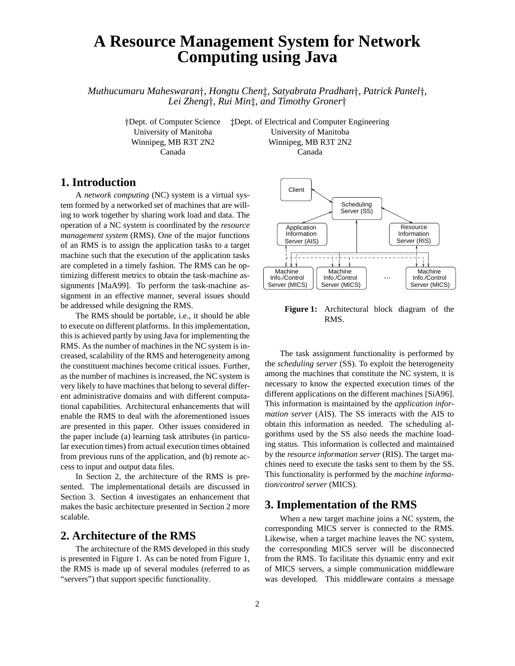# **A Resource Management System for Network Computing using Java**

*Muthucumaru Maheswaran , Hongtu Chen , Satyabrata Pradhan , Patrick Pantel , Lei Zheng , Rui Min , and Timothy Groner*

-

 $\ddagger$ Dept. of Electrical and Computer Engineering University of Manitoba University of Manitoba Winnipeg, MB R3T 2N2 Winnipeg, MB R3T 2N2 Canada Canada

### **1. Introduction**

A *network computing* (NC) system is a virtual system formed by a networked set of machines that are willing to work together by sharing work load and data. The operation of a NC system is coordinated by the *resource management system* (RMS). One of the major functions of an RMS is to assign the application tasks to a target machine such that the execution of the application tasks are completed in a timely fashion. The RMS can be optimizing different metrics to obtain the task-machine assignments [MaA99]. To perform the task-machine assignment in an effective manner, several issues should be addressed while designing the RMS.

The RMS should be portable, i.e., it should be able to execute on different platforms. In thisimplementation, this is achieved partly by using Java for implementing the RMS. As the number of machines in the NC system is increased, scalability of the RMS and heterogeneity among the constituent machines become critical issues. Further, as the number of machines is increased, the NC system is very likely to have machines that belong to several different administrative domains and with different computational capabilities. Architectural enhancements that will enable the RMS to deal with the aforementioned issues are presented in this paper. Other issues considered in the paper include (a) learning task attributes (in particular execution times) from actual execution times obtained from previous runs of the application, and (b) remote access to input and output data files.

In Section 2, the architecture of the RMS is presented. The implementational details are discussed in Section 3. Section 4 investigates an enhancement that makes the basic architecture presented in Section 2 more scalable.

#### **2. Architecture of the RMS**

The architecture of the RMS developed in this study is presented in Figure 1. As can be noted from Figure 1, the RMS is made up of several modules (referred to as "servers") that support specific functionality.



**Figure 1:** Architectural block diagram of the RMS.

The task assignment functionality is performed by the *scheduling server* (SS). To exploit the heterogeneity among the machines that constitute the NC system, it is necessary to know the expected execution times of the different applications on the different machines [SiA96]. This information is maintained by the *application information server* (AIS). The SS interacts with the AIS to obtain this information as needed. The scheduling algorithms used by the SS also needs the machine loading status. This information is collected and maintained by the *resource information server* (RIS). The target machines need to execute the tasks sent to them by the SS. This functionality is performed by the *machine information/control server* (MICS).

#### **3. Implementation of the RMS**

When a new target machine joins a NC system, the corresponding MICS server is connected to the RMS. Likewise, when a target machine leaves the NC system, the corresponding MICS server will be disconnected from the RMS. To facilitate this dynamic entry and exit of MICS servers, a simple communication middleware was developed. This middleware contains a message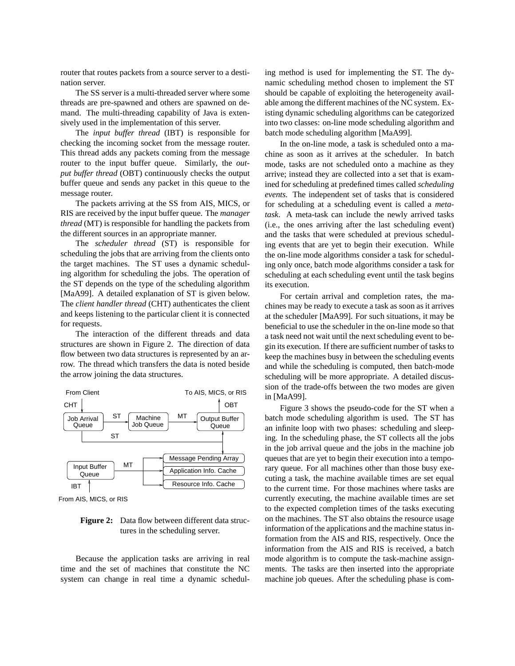router that routes packets from a source server to a destination server.

The SS server is a multi-threaded server where some threads are pre-spawned and others are spawned on demand. The multi-threading capability of Java is extensively used in the implementation of this server.

The *input buffer thread* (IBT) is responsible for checking the incoming socket from the message router. This thread adds any packets coming from the message router to the input buffer queue. Similarly, the *output buffer thread* (OBT) continuously checks the output buffer queue and sends any packet in this queue to the message router.

The packets arriving at the SS from AIS, MICS, or RIS are received by the input buffer queue. The *manager thread* (MT) is responsible for handling the packets from the different sources in an appropriate manner.

The *scheduler thread* (ST) is responsible for scheduling the jobs that are arriving from the clients onto the target machines. The ST uses a dynamic scheduling algorithm for scheduling the jobs. The operation of the ST depends on the type of the scheduling algorithm [MaA99]. A detailed explanation of ST is given below. The *client handler thread* (CHT) authenticates the client and keeps listening to the particular client it is connected for requests.

The interaction of the different threads and data structures are shown in Figure 2. The direction of data flow between two data structures is represented by an arrow. The thread which transfers the data is noted beside the arrow joining the data structures.



From AIS, MICS, or RIS

**Figure 2:** Data flow between different data structures in the scheduling server.

Because the application tasks are arriving in real time and the set of machines that constitute the NC system can change in real time a dynamic scheduling method is used for implementing the ST. The dynamic scheduling method chosen to implement the ST should be capable of exploiting the heterogeneity available among the different machines of the NC system. Existing dynamic scheduling algorithms can be categorized into two classes: on-line mode scheduling algorithm and batch mode scheduling algorithm [MaA99].

In the on-line mode, a task is scheduled onto a machine as soon as it arrives at the scheduler. In batch mode, tasks are not scheduled onto a machine as they arrive; instead they are collected into a set that is examined for scheduling at predefined times called *scheduling events.* The independent set of tasks that is considered for scheduling at a scheduling event is called a *metatask*. A meta-task can include the newly arrived tasks (i.e., the ones arriving after the last scheduling event) and the tasks that were scheduled at previous scheduling events that are yet to begin their execution. While the on-line mode algorithms consider a task for scheduling only once, batch mode algorithms consider a task for scheduling at each scheduling event until the task begins its execution.

For certain arrival and completion rates, the machines may be ready to execute a task as soon as it arrives at the scheduler [MaA99]. For such situations, it may be beneficial to use the scheduler in the on-line mode so that a task need not wait until the next scheduling event to begin its execution. If there are sufficient number of tasksto keep the machines busy in between the scheduling events and while the scheduling is computed, then batch-mode scheduling will be more appropriate. A detailed discussion of the trade-offs between the two modes are given in [MaA99].

Figure 3 shows the pseudo-code for the ST when a batch mode scheduling algorithm is used. The ST has an infinite loop with two phases: scheduling and sleeping. In the scheduling phase, the ST collects all the jobs in the job arrival queue and the jobs in the machine job queues that are yet to begin their execution into a temporary queue. For all machines other than those busy executing a task, the machine available times are set equal to the current time. For those machines where tasks are currently executing, the machine available times are set to the expected completion times of the tasks executing on the machines. The ST also obtains the resource usage information of the applications and the machine status information from the AIS and RIS, respectively. Once the information from the AIS and RIS is received, a batch mode algorithm is to compute the task-machine assignments. The tasks are then inserted into the appropriate machine job queues. After the scheduling phase is com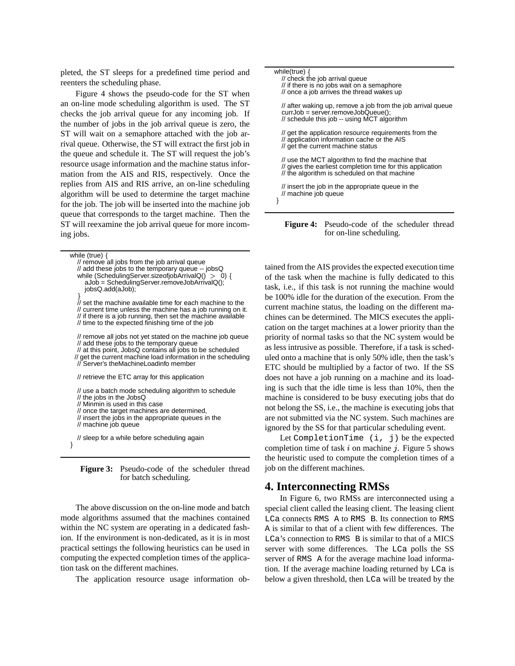pleted, the ST sleeps for a predefined time period and reenters the scheduling phase.

Figure 4 shows the pseudo-code for the ST when an on-line mode scheduling algorithm is used. The ST checks the job arrival queue for any incoming job. If the number of jobs in the job arrival queue is zero, the ST will wait on a semaphore attached with the job arrival queue. Otherwise, the ST will extract the first job in the queue and schedule it. The ST will request the job's resource usage information and the machine status information from the AIS and RIS, respectively. Once the replies from AIS and RIS arrive, an on-line scheduling algorithm will be used to determine the target machine for the job. The job will be inserted into the machine job queue that corresponds to the target machine. Then the ST will reexamine the job arrival queue for more incoming jobs.

| while (true) $\{$<br>// remove all jobs from the job arrival queue<br>// add these jobs to the temporary queue -- jobsQ<br>while (SchedulingServer.sizeofjobArrivalQ() > 0) {<br>aJob = SchedulingServer.removeJobArrivalQ();<br>jobsQ.add(aJob);                             |
|-------------------------------------------------------------------------------------------------------------------------------------------------------------------------------------------------------------------------------------------------------------------------------|
| )<br>// set the machine available time for each machine to the<br>// current time unless the machine has a job running on it.<br>// if there is a job running, then set the machine available<br>// time to the expected finishing time of the job                            |
| // remove all jobs not yet stated on the machine job queue<br>// add these jobs to the temporary queue<br>// at this point, JobsQ contains all jobs to be scheduled<br>// get the current machine load information in the scheduling<br>// Server's theMachineLoadinfo member |
| // retrieve the ETC array for this application                                                                                                                                                                                                                                |
| // use a batch mode scheduling algorithm to schedule<br>// the jobs in the JobsQ<br>// Minmin is used in this case<br>// once the target machines are determined,<br>// insert the jobs in the appropriate queues in the<br>// machine job queue                              |
| // sleep for a while before scheduling again                                                                                                                                                                                                                                  |

 $\mathcal{E}$ 

**Figure 3:** Pseudo-code of the scheduler thread for batch scheduling.

The above discussion on the on-line mode and batch mode algorithms assumed that the machines contained within the NC system are operating in a dedicated fashion. If the environment is non-dedicated, as it is in most practical settings the following heuristics can be used in computing the expected completion times of the application task on the different machines.

The application resource usage information ob-

| while(true) $\{$<br>// check the job arrival queue<br>// if there is no jobs wait on a semaphore<br>// once a job arrives the thread wakes up                    |
|------------------------------------------------------------------------------------------------------------------------------------------------------------------|
| // after waking up, remove a job from the job arrival queue<br>$curvJob = server.removeJobQueue();$<br>// schedule this job -- using MCT algorithm               |
| // get the application resource requirements from the<br>// application information cache or the AIS<br>// get the current machine status                        |
| // use the MCT algorithm to find the machine that<br>// gives the earliest completion time for this application<br>// the algorithm is scheduled on that machine |
| // insert the job in the appropriate queue in the<br>// machine job queue                                                                                        |



tained from the AIS provides the expected execution time of the task when the machine is fully dedicated to this task, i.e., if this task is not running the machine would be 100% idle for the duration of the execution. From the current machine status, the loading on the different machines can be determined. The MICS executes the application on the target machines at a lower priority than the priority of normal tasks so that the NC system would be as less intrusive as possible. Therefore, if a task is scheduled onto a machine that is only 50% idle, then the task's ETC should be multiplied by a factor of two. If the SS does not have a job running on a machine and its loading is such that the idle time is less than 10%, then the machine is considered to be busy executing jobs that do not belong the SS, i.e., the machine is executing jobs that are not submitted via the NC system. Such machines are ignored by the SS for that particular scheduling event.

Let CompletionTime (i, j) be the expected completion time of task  $i$  on machine  $j$ . Figure 5 shows the heuristic used to compute the completion times of a job on the different machines.

#### **4. Interconnecting RMSs**

In Figure 6, two RMSs are interconnected using a special client called the leasing client. The leasing client LCa connects RMS A to RMS B. Its connection to RMS A is similar to that of a client with few differences. The LCa's connection to RMS B is similar to that of a MICS server with some differences. The LCa polls the SS server of RMS A for the average machine load information. If the average machine loading returned by LCa is below a given threshold, then LCa will be treated by the